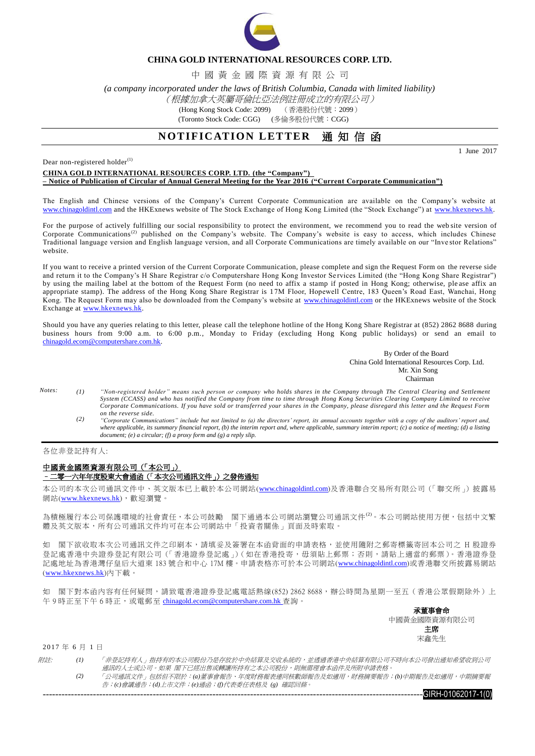

## **CHINA GOLD INTERNATIONAL RESOURCES CORP. LTD.**

中 國 黃 金 國 際 資 源 有 限 公 司

*(a company incorporated under the laws of British Columbia, Canada with limited liability)*

### (根據加拿大英屬哥倫比亞法例註冊成立的有限公司)

(Hong Kong Stock Code: 2099) (香港股份代號:2099)

(Toronto Stock Code: CGG) (多倫多股份代號:CGG)

## **NOTIFICATION LETTER** 通知信函

1 June 2017

Dear non-registered holder $^{(1)}$ 

### **CHINA GOLD INTERNATIONAL RESOURCES CORP. LTD. (the "Company") – Notice of Publication of Circular of Annual General Meeting for the Year 2016 ("Current Corporate Communication")**

The English and Chinese versions of the Company's Current Corporate Communication are available on the Company's website at [www.chinagoldintl.com](http://www.chinagoldintl.com/) and the HKExnews website of The Stock Exchange of Hong Kong Limited (the "Stock Exchange") at [www.hkexnews.hk.](http://www.hkexnews.hk/index.htm)

For the purpose of actively fulfilling our social responsibility to protect the environment, we recommend you to read the web site version of Corporate Communications<sup>(2)</sup> published on the Company's website. The Company's website is easy to access, which includes Chinese Traditional language version and English language version, and all Corporate Communications are timely available on our "Inve stor Relations" website.

If you want to receive a printed version of the Current Corporate Communication, please complete and sign the Request Form on the reverse side and return it to the Company's H Share Registrar c/o Computershare Hong Kong Investor Se rvices Limited (the "Hong Kong Share Registrar") by using the mailing label at the bottom of the Request Form (no need to affix a stamp if posted in Hong Kong; otherwise, ple ase affix an appropriate stamp). The address of the Hong Kong Share Registrar is 17M Floor, Hopewell Centre, 183 Queen's Road East, Wanchai, Hong Kong. The Request Form may also be downloaded from the Company's website at [www.chinagoldintl.com](http://www.chinagoldintl.com/) or the HKExnews website of the Stock Exchange at [www.hkexnews.hk.](http://www.hkexnews.hk/index.htm)

Should you have any queries relating to this letter, please call the telephone hotline of the Hong Kong Share Registrar at (852) 2862 8688 during business hours from 9:00 a.m. to 6:00 p.m., Monday to Friday (excluding Hong Kong public holidays) or send an email to [chinagold.ecom@computershare.com.hk.](mailto:sanmiguel.ecom@computershare.com.hk)

> By Order of the Board China Gold International Resources Corp. Ltd. Mr. Xin Song **Chairman**

- *Notes: (1) "Non-registered holder" means such person or company who holds shares in the Company through The Central Clearing and Settlement System (CCASS) and who has notified the Company from time to time through Hong Kong Securities Clearing Company Limited to receive Corporate Communications. If you have sold or transferred your shares in the Company, please disregard this letter and the Request Form on the reverse side.*
	- *(2) "Corporate Communications" include but not limited to (a) the directors' report, its annual accounts together with a copy of the auditors' report and, where applicable, its summary financial report, (b) the interim report and, where applicable, summary interim report; (c) a notice of meeting; (d) a listing document; (e) a circular; (f) a proxy form and (g) a reply slip.*

#### 各位非登記持有人:

### 中國黃金國際資源有限公司(「本公司」) –二零一六年年度股東大會通函(「本次公司通訊文件」)之發佈通知

本公司的本次公司通訊文件中、英文版本已上載於本公司網站([www.chinagoldintl.com](http://www.chinagoldintl.com/))及香港聯合交易所有限公司(「聯交所」)披露易 網站([www.hkexnews.hk](http://www.hkexnews.hk/index.htm)),歡迎瀏覽。

為積極履行本公司保護環境的社會責任,本公司鼓勵 閣下通過本公司網站瀏覽公司通訊文件<sup>(2)</sup>。本公司網站使用方便,包括中文繁 體及英文版本,所有公司通訊文件均可在本公司網站中「投資者關係」頁面及時索取。

如 閣下欲收取本次公司通訊文件之印刷本,請填妥及簽署在本函背面的申請表格,並使用隨附之郵寄標籤寄回本公司之 H 股證券 登記處香港中央證券登記有限公司(「香港證券登記處」)(如在香港投寄,毋須貼上郵票;否則,請貼上適當的郵票)。香港證券登 記處地址為香港灣仔皇后大道東 183 號合和中心 17M 樓。申請表格亦可於本公司網站([www.chinagoldintl.com](http://www.chinagoldintl.com/))或香港聯交所披露易網站 ([www.hkexnews.hk](http://www.hkexnews.hk/index.htm))內下載。

如 閣下對本函內容有任何疑問,請致電香港證券登記處電話熱線(852) 2862 8688,辦公時間為星期一至五(香港公眾假期除外)上 午9時正至下午6時正,或電郵至 [chinagold.ecom@computershare.com.hk](mailto:sanmiguel.ecom@computershare.com.hk) 查詢。

> 承董事會命 中國黃金國際資源有限公司 主席 宋鑫先生

2017 年 6 月 1 日

| <i>附註:</i> |     | 「非登記持有人」指持有的本公司股份乃是存放於中央結算及交收系統的,並透過香港中央結算有限公司不時向本公司發出通知希望收到公司」    |
|------------|-----|--------------------------------------------------------------------|
|            |     | 涌訊的人十或公司。如果 閣下已經出售或轉讓所持有之本公司股份,即無需理會本函件及所附申請表格。                    |
|            | (2) | 「公司通訊文件」包括但不限於:(a)董事會報告、年度財務報表連同核數師報告及如適用,財務摘要報告;(b)中期報告及如適用,中期摘要報 |
|            |     | 告;(c)會議通告;(d)上市文件;(e)通函;(f)代表委任表格及 (g) 確認回條。                       |

 $-101062017-10$